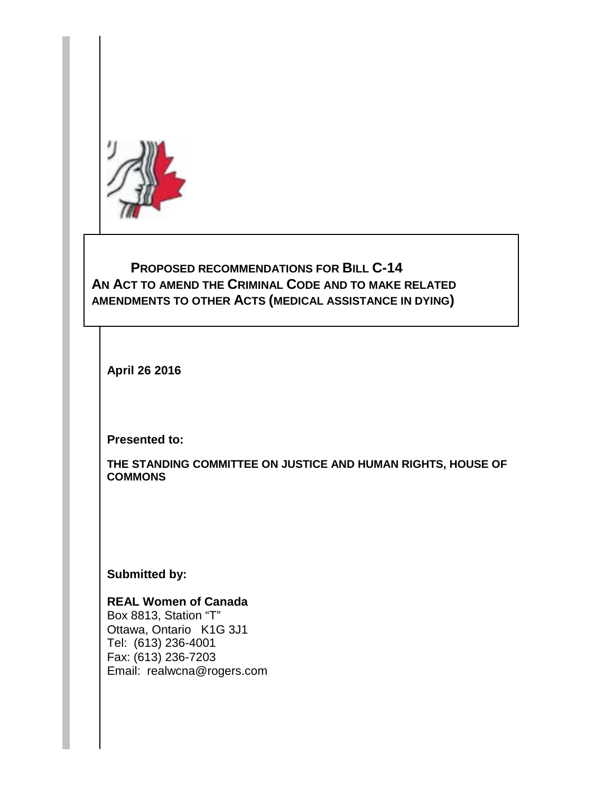

## **PROPOSED RECOMMENDATIONS FOR BILL C-14 AN ACT TO AMEND THE CRIMINAL CODE AND TO MAKE RELATED AMENDMENTS TO OTHER ACTS (MEDICAL ASSISTANCE IN DYING)**

**April 26 2016**

**Presented to:**

**THE STANDING COMMITTEE ON JUSTICE AND HUMAN RIGHTS, HOUSE OF COMMONS**

**Submitted by:**

**REAL Women of Canada** Box 8813, Station "T" Ottawa, Ontario K1G 3J1 Tel: (613) 236-4001 Fax: (613) 236-7203 Email: realwcna@rogers.com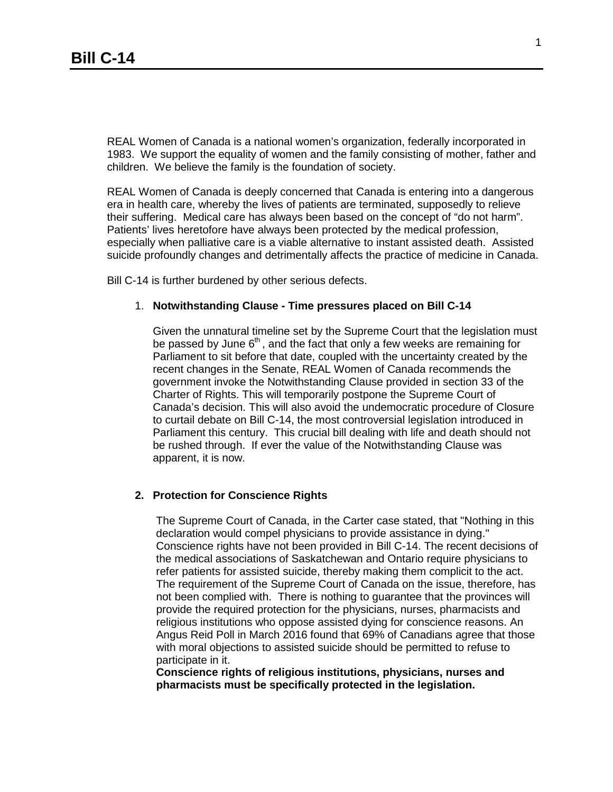REAL Women of Canada is a national women's organization, federally incorporated in 1983. We support the equality of women and the family consisting of mother, father and children. We believe the family is the foundation of society.

REAL Women of Canada is deeply concerned that Canada is entering into a dangerous era in health care, whereby the lives of patients are terminated, supposedly to relieve their suffering. Medical care has always been based on the concept of "do not harm". Patients' lives heretofore have always been protected by the medical profession, especially when palliative care is a viable alternative to instant assisted death. Assisted suicide profoundly changes and detrimentally affects the practice of medicine in Canada.

Bill C-14 is further burdened by other serious defects.

## 1. **Notwithstanding Clause - Time pressures placed on Bill C-14**

Given the unnatural timeline set by the Supreme Court that the legislation must be passed by June  $6<sup>th</sup>$ , and the fact that only a few weeks are remaining for Parliament to sit before that date, coupled with the uncertainty created by the recent changes in the Senate, REAL Women of Canada recommends the government invoke the Notwithstanding Clause provided in section 33 of the Charter of Rights. This will temporarily postpone the Supreme Court of Canada's decision. This will also avoid the undemocratic procedure of Closure to curtail debate on Bill C-14, the most controversial legislation introduced in Parliament this century. This crucial bill dealing with life and death should not be rushed through. If ever the value of the Notwithstanding Clause was apparent, it is now.

## **2. Protection for Conscience Rights**

The Supreme Court of Canada, in the Carter case stated, that "Nothing in this declaration would compel physicians to provide assistance in dying." Conscience rights have not been provided in Bill C-14. The recent decisions of the medical associations of Saskatchewan and Ontario require physicians to refer patients for assisted suicide, thereby making them complicit to the act. The requirement of the Supreme Court of Canada on the issue, therefore, has not been complied with. There is nothing to guarantee that the provinces will provide the required protection for the physicians, nurses, pharmacists and religious institutions who oppose assisted dying for conscience reasons. An Angus Reid Poll in March 2016 found that 69% of Canadians agree that those with moral objections to assisted suicide should be permitted to refuse to participate in it.

**Conscience rights of religious institutions, physicians, nurses and pharmacists must be specifically protected in the legislation.**